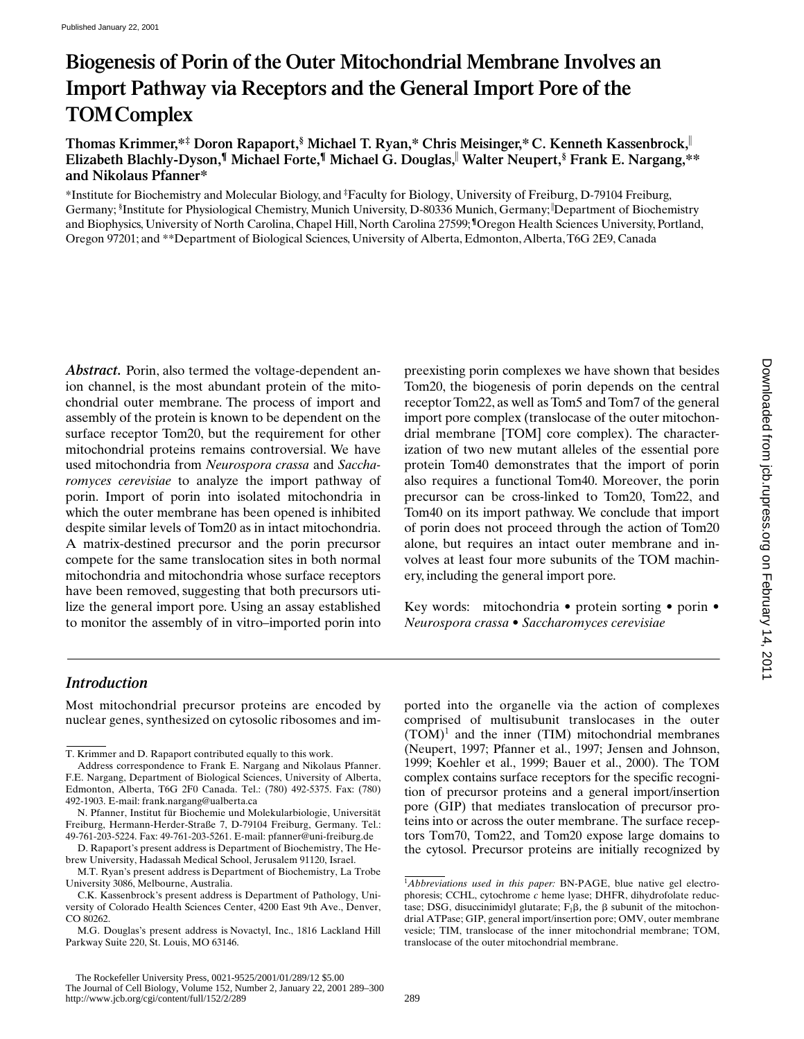# **Biogenesis of Porin of the Outer Mitochondrial Membrane Involves an Import Pathway via Receptors and the General Import Pore of the TOMComplex**

**Thomas Krimmer,\*‡ Doron Rapaport,§ Michael T. Ryan,\* Chris Meisinger,\* C. Kenneth Kassenbrock,**<sup>i</sup> **Elizabeth Blachly-Dyson,¶ Michael Forte,¶ Michael G. Douglas,**<sup>i</sup>  **Walter Neupert,§ Frank E. Nargang,\*\* and Nikolaus Pfanner\***

\*Institute for Biochemistry and Molecular Biology, and ‡ Faculty for Biology, University of Freiburg, D-79104 Freiburg, Germany; <sup>§</sup>Institute for Physiological Chemistry, Munich University, D-80336 Munich, Germany; <sup>|</sup>Department of Biochemistry and Biophysics, University of North Carolina, Chapel Hill, North Carolina 27599; **¶**Oregon Health Sciences University, Portland, Oregon 97201; and \*\*Department of Biological Sciences, University of Alberta, Edmonton, Alberta, T6G 2E9, Canada

Abstract. Porin, also termed the voltage-dependent anion channel, is the most abundant protein of the mitochondrial outer membrane. The process of import and assembly of the protein is known to be dependent on the surface receptor Tom20, but the requirement for other mitochondrial proteins remains controversial. We have used mitochondria from *Neurospora crassa* and *Saccharomyces cerevisiae* to analyze the import pathway of porin. Import of porin into isolated mitochondria in which the outer membrane has been opened is inhibited despite similar levels of Tom20 as in intact mitochondria. A matrix-destined precursor and the porin precursor compete for the same translocation sites in both normal mitochondria and mitochondria whose surface receptors have been removed, suggesting that both precursors utilize the general import pore. Using an assay established to monitor the assembly of in vitro–imported porin into preexisting porin complexes we have shown that besides Tom20, the biogenesis of porin depends on the central receptor Tom22, as well as Tom5 and Tom7 of the general import pore complex (translocase of the outer mitochondrial membrane [TOM] core complex). The characterization of two new mutant alleles of the essential pore protein Tom40 demonstrates that the import of porin also requires a functional Tom40. Moreover, the porin precursor can be cross-linked to Tom20, Tom22, and Tom40 on its import pathway. We conclude that import of porin does not proceed through the action of Tom20 alone, but requires an intact outer membrane and involves at least four more subunits of the TOM machinery, including the general import pore.

Key words: mitochondria • protein sorting • porin • *Neurospora crassa* • *Saccharomyces cerevisiae*

## *Introduction*

Most mitochondrial precursor proteins are encoded by nuclear genes, synthesized on cytosolic ribosomes and imported into the organelle via the action of complexes comprised of multisubunit translocases in the outer  $(TOM)^1$  and the inner (TIM) mitochondrial membranes (Neupert, 1997; Pfanner et al., 1997; Jensen and Johnson, 1999; Koehler et al., 1999; Bauer et al., 2000). The TOM complex contains surface receptors for the specific recognition of precursor proteins and a general import/insertion pore (GIP) that mediates translocation of precursor proteins into or across the outer membrane. The surface receptors Tom70, Tom22, and Tom20 expose large domains to the cytosol. Precursor proteins are initially recognized by

T. Krimmer and D. Rapaport contributed equally to this work.

Address correspondence to Frank E. Nargang and Nikolaus Pfanner. F.E. Nargang, Department of Biological Sciences, University of Alberta, Edmonton, Alberta, T6G 2F0 Canada. Tel.: (780) 492-5375. Fax: (780) 492-1903. E-mail: frank.nargang@ualberta.ca

N. Pfanner, Institut für Biochemie und Molekularbiologie, Universität Freiburg, Hermann-Herder-Straße 7, D-79104 Freiburg, Germany. Tel.: 49-761-203-5224. Fax: 49-761-203-5261. E-mail: pfanner@uni-freiburg.de

D. Rapaport's present address is Department of Biochemistry, The Hebrew University, Hadassah Medical School, Jerusalem 91120, Israel.

M.T. Ryan's present address is Department of Biochemistry, La Trobe University 3086, Melbourne, Australia.

C.K. Kassenbrock's present address is Department of Pathology, University of Colorado Health Sciences Center, 4200 East 9th Ave., Denver, CO 80262.

M.G. Douglas's present address is Novactyl, Inc., 1816 Lackland Hill Parkway Suite 220, St. Louis, MO 63146.

<sup>1</sup> *Abbreviations used in this paper:* BN-PAGE, blue native gel electrophoresis; CCHL, cytochrome *c* heme lyase; DHFR, dihydrofolate reductase; DSG, disuccinimidyl glutarate;  $F_1\beta$ , the  $\beta$  subunit of the mitochondrial ATPase; GIP, general import/insertion pore; OMV, outer membrane vesicle; TIM, translocase of the inner mitochondrial membrane; TOM, translocase of the outer mitochondrial membrane.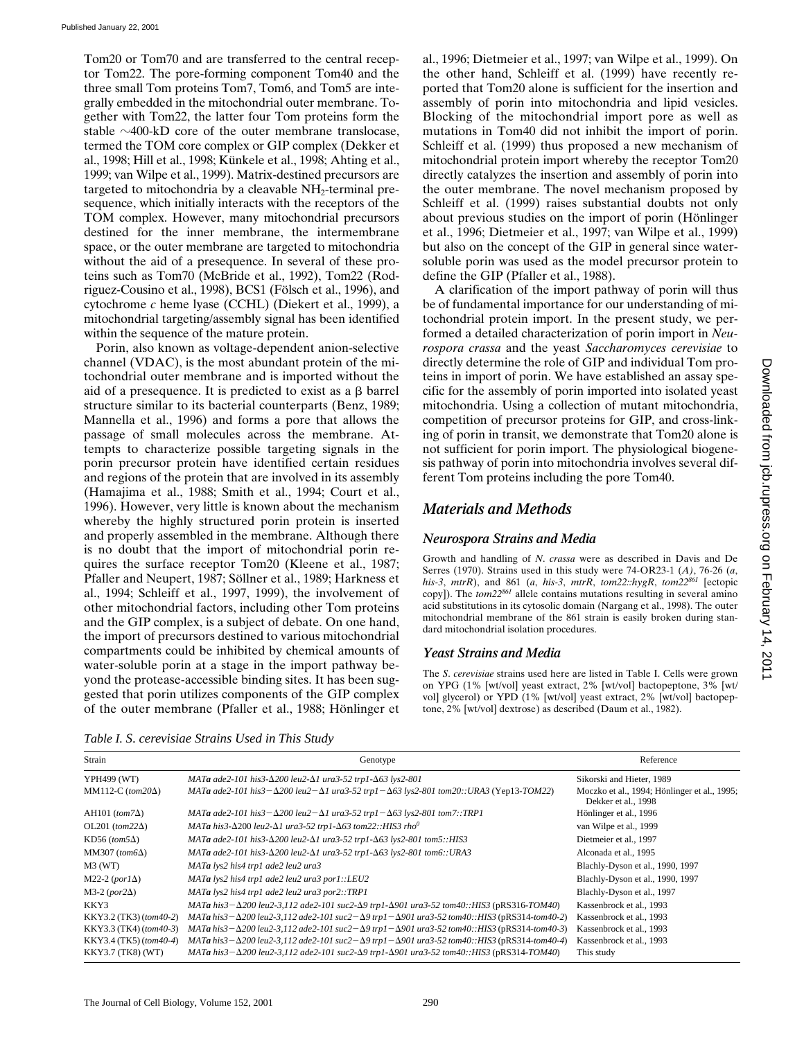Tom20 or Tom70 and are transferred to the central receptor Tom22. The pore-forming component Tom40 and the three small Tom proteins Tom7, Tom6, and Tom5 are integrally embedded in the mitochondrial outer membrane. Together with Tom22, the latter four Tom proteins form the stable  $\sim$ 400-kD core of the outer membrane translocase, termed the TOM core complex or GIP complex (Dekker et al., 1998; Hill et al., 1998; Künkele et al., 1998; Ahting et al., 1999; van Wilpe et al., 1999). Matrix-destined precursors are targeted to mitochondria by a cleavable  $NH<sub>2</sub>$ -terminal presequence, which initially interacts with the receptors of the TOM complex. However, many mitochondrial precursors destined for the inner membrane, the intermembrane space, or the outer membrane are targeted to mitochondria without the aid of a presequence. In several of these proteins such as Tom70 (McBride et al., 1992), Tom22 (Rodriguez-Cousino et al., 1998), BCS1 (Fölsch et al., 1996), and cytochrome *c* heme lyase (CCHL) (Diekert et al., 1999), a mitochondrial targeting/assembly signal has been identified within the sequence of the mature protein.

Porin, also known as voltage-dependent anion-selective channel (VDAC), is the most abundant protein of the mitochondrial outer membrane and is imported without the aid of a presequence. It is predicted to exist as a  $\beta$  barrel structure similar to its bacterial counterparts (Benz, 1989; Mannella et al., 1996) and forms a pore that allows the passage of small molecules across the membrane. Attempts to characterize possible targeting signals in the porin precursor protein have identified certain residues and regions of the protein that are involved in its assembly (Hamajima et al., 1988; Smith et al., 1994; Court et al., 1996). However, very little is known about the mechanism whereby the highly structured porin protein is inserted and properly assembled in the membrane. Although there is no doubt that the import of mitochondrial porin requires the surface receptor Tom20 (Kleene et al., 1987; Pfaller and Neupert, 1987; Söllner et al., 1989; Harkness et al., 1994; Schleiff et al., 1997, 1999), the involvement of other mitochondrial factors, including other Tom proteins and the GIP complex, is a subject of debate. On one hand, the import of precursors destined to various mitochondrial compartments could be inhibited by chemical amounts of water-soluble porin at a stage in the import pathway beyond the protease-accessible binding sites. It has been suggested that porin utilizes components of the GIP complex of the outer membrane (Pfaller et al., 1988; Hönlinger et

al., 1996; Dietmeier et al., 1997; van Wilpe et al., 1999). On the other hand, Schleiff et al. (1999) have recently reported that Tom20 alone is sufficient for the insertion and assembly of porin into mitochondria and lipid vesicles. Blocking of the mitochondrial import pore as well as mutations in Tom40 did not inhibit the import of porin. Schleiff et al. (1999) thus proposed a new mechanism of mitochondrial protein import whereby the receptor Tom20 directly catalyzes the insertion and assembly of porin into the outer membrane. The novel mechanism proposed by Schleiff et al. (1999) raises substantial doubts not only about previous studies on the import of porin (Hönlinger et al., 1996; Dietmeier et al., 1997; van Wilpe et al., 1999) but also on the concept of the GIP in general since watersoluble porin was used as the model precursor protein to define the GIP (Pfaller et al., 1988).

A clarification of the import pathway of porin will thus be of fundamental importance for our understanding of mitochondrial protein import. In the present study, we performed a detailed characterization of porin import in *Neurospora crassa* and the yeast *Saccharomyces cerevisiae* to directly determine the role of GIP and individual Tom proteins in import of porin. We have established an assay specific for the assembly of porin imported into isolated yeast mitochondria. Using a collection of mutant mitochondria, competition of precursor proteins for GIP, and cross-linking of porin in transit, we demonstrate that Tom20 alone is not sufficient for porin import. The physiological biogenesis pathway of porin into mitochondria involves several different Tom proteins including the pore Tom40.

## *Materials and Methods*

## *Neurospora Strains and Media*

Growth and handling of *N*. *crassa* were as described in Davis and De Serres (1970). Strains used in this study were 74-OR23-1 (*A)*, 76-26 (*a*, *his-3*, *mtrR*), and 861 (*a*, *his-3*, *mtrR*, *tom22::hygR*, *tom22861* [ectopic copy]). The *tom22861* allele contains mutations resulting in several amino acid substitutions in its cytosolic domain (Nargang et al., 1998). The outer mitochondrial membrane of the 861 strain is easily broken during standard mitochondrial isolation procedures.

## *Yeast Strains and Media*

The *S*. *cerevisiae* strains used here are listed in Table I. Cells were grown on YPG (1% [wt/vol] yeast extract, 2% [wt/vol] bactopeptone, 3% [wt/ vol] glycerol) or YPD (1% [wt/vol] yeast extract, 2% [wt/vol] bactopeptone, 2% [wt/vol] dextrose) as described (Daum et al., 1982).

*Table I. S*. *cerevisiae Strains Used in This Study*

| Strain                  | Genotype                                                                                                                      | Reference                                                           |
|-------------------------|-------------------------------------------------------------------------------------------------------------------------------|---------------------------------------------------------------------|
| YPH499 (WT)             | MATa ade2-101 his3- $\Delta$ 200 leu2- $\Delta$ 1 ura3-52 trp1- $\Delta$ 63 lys2-801                                          | Sikorski and Hieter, 1989                                           |
| MM112-C $(tom20\Delta)$ | MATa ade2-101 his3- $\Delta$ 200 leu2- $\Delta$ 1 ura3-52 trp1- $\Delta$ 63 lys2-801 tom20::URA3 (Yep13-TOM22)                | Moczko et al., 1994; Hönlinger et al., 1995;<br>Dekker et al., 1998 |
| AH101 $(tom7\Delta)$    | MATa ade2-101 his3- $\Delta$ 200 leu2- $\Delta$ 1 ura3-52 trp1- $\Delta$ 63 lys2-801 tom7::TRP1                               | Hönlinger et al., 1996                                              |
| OL201 (tom22 $\Delta$ ) | MATa his 3- $\Delta$ 200 leu2- $\Delta$ 1 ura3-52 trp1- $\Delta$ 63 tom22::HIS3 rho <sup>0</sup>                              | van Wilpe et al., 1999                                              |
| KD56 (tom5 $\Delta$ )   | MATa ade2-101 his3- $\Delta$ 200 leu2- $\Delta$ 1 ura3-52 trp1- $\Delta$ 63 lys2-801 tom5::HIS3                               | Dietmeier et al., 1997                                              |
| MM307 (tom6 $\Delta$ )  | MATa ade2-101 his3-Δ200 leu2-Δ1 ura3-52 trp1-Δ63 lys2-801 tom6:: URA3                                                         | Alconada et al., 1995                                               |
| $M3$ (WT)               | MATa lys2 his4 trp1 ade2 leu2 ura3                                                                                            | Blachly-Dyson et al., 1990, 1997                                    |
| M22-2 $(por1\Delta)$    | MATa lys2 his4 trp1 ade2 leu2 ura3 por1::LEU2                                                                                 | Blachly-Dyson et al., 1990, 1997                                    |
| M3-2 (por2 $\Delta$ )   | MATa lys2 his4 trp1 ade2 leu2 ura3 por2::TRP1                                                                                 | Blachly-Dyson et al., 1997                                          |
| KKY3                    | $MATA$ his $3-\Delta 200$ leu2-3,112 ade2-101 suc2- $\Delta 9$ trp1- $\Delta 901$ ura $3-52$ tom $40$ ::HIS3 (pRS316-TOM40)   | Kassenbrock et al., 1993                                            |
| KKY3.2 (TK3) (tom40-2)  | $MATA$ his $3 - \Delta 200$ leu2-3, 112 ade2-101 suc $2 - \Delta 9$ trp $1 - \Delta 901$ ura3-52 tom40::HIS3 (pRS314-tom40-2) | Kassenbrock et al., 1993                                            |
| KKY3.3 (TK4) (tom40-3)  | $MATA$ his $3 - \Delta 200$ leu2-3, 112 ade2-101 suc $2 - \Delta 9$ trp $1 - \Delta 901$ ura3-52 tom40::HIS3 (pRS314-tom40-3) | Kassenbrock et al., 1993                                            |
| KKY3.4 (TK5) (tom40-4)  | $MATA$ his $3 - \Delta 200$ leu2-3, 112 ade2-101 suc $2 - \Delta 9$ trp $1 - \Delta 901$ ura3-52 tom40::HIS3 (pRS314-tom40-4) | Kassenbrock et al., 1993                                            |
| KKY3.7 (TK8) (WT)       | MATa his $3-\Delta 200$ leu2-3,112 ade2-101 suc2- $\Delta 9$ trp1- $\Delta 901$ ura3-52 tom40::HIS3 (pRS314-TOM40)            | This study                                                          |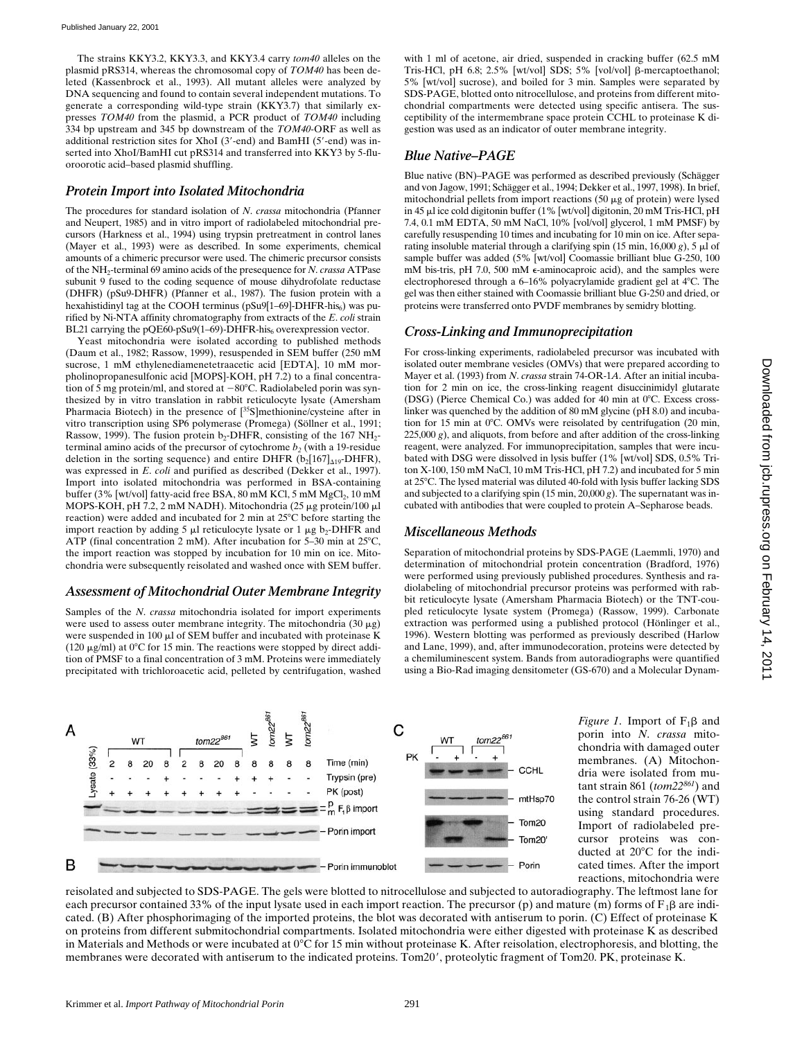The strains KKY3.2, KKY3.3, and KKY3.4 carry *tom40* alleles on the plasmid pRS314, whereas the chromosomal copy of *TOM40* has been deleted (Kassenbrock et al., 1993). All mutant alleles were analyzed by DNA sequencing and found to contain several independent mutations. To generate a corresponding wild-type strain (KKY3.7) that similarly expresses *TOM40* from the plasmid, a PCR product of *TOM40* including 334 bp upstream and 345 bp downstream of the *TOM40*-ORF as well as additional restriction sites for XhoI ( $3'$ -end) and BamHI ( $5'$ -end) was inserted into XhoI/BamHI cut pRS314 and transferred into KKY3 by 5-fluoroorotic acid–based plasmid shuffling.

#### *Protein Import into Isolated Mitochondria*

The procedures for standard isolation of *N*. *crassa* mitochondria (Pfanner and Neupert, 1985) and in vitro import of radiolabeled mitochondrial precursors (Harkness et al., 1994) using trypsin pretreatment in control lanes (Mayer et al., 1993) were as described. In some experiments, chemical amounts of a chimeric precursor were used. The chimeric precursor consists of the NH2-terminal 69 amino acids of the presequence for *N*. *crassa* ATPase subunit 9 fused to the coding sequence of mouse dihydrofolate reductase (DHFR) (pSu9-DHFR) (Pfanner et al., 1987). The fusion protein with a hexahistidinyl tag at the COOH terminus ( $pSu9[1–69]$ -DHFR-his<sub>6</sub>) was purified by Ni-NTA affinity chromatography from extracts of the *E*. *coli* strain BL21 carrying the pQE60-pSu9(1–69)-DHFR-his $_6$  overexpression vector.

Yeast mitochondria were isolated according to published methods (Daum et al., 1982; Rassow, 1999), resuspended in SEM buffer (250 mM sucrose, 1 mM ethylenediamenetetraacetic acid [EDTA], 10 mM morpholinopropanesulfonic acid [MOPS]-KOH, pH 7.2) to a final concentration of 5 mg protein/ml, and stored at  $-80^{\circ}$ C. Radiolabeled porin was synthesized by in vitro translation in rabbit reticulocyte lysate (Amersham Pharmacia Biotech) in the presence of [<sup>35</sup>S]methionine/cysteine after in vitro transcription using SP6 polymerase (Promega) (Söllner et al., 1991; Rassow, 1999). The fusion protein  $b_2$ -DHFR, consisting of the 167 NH<sub>2</sub>terminal amino acids of the precursor of cytochrome  $b_2$  (with a 19-residue deletion in the sorting sequence) and entire DHFR  $(b_2[167]_{A19}$ -DHFR), was expressed in *E*. *coli* and purified as described (Dekker et al., 1997). Import into isolated mitochondria was performed in BSA-containing buffer (3% [wt/vol] fatty-acid free BSA, 80 mM KCl, 5 mM MgCl<sub>2</sub>, 10 mM MOPS-KOH, pH 7.2, 2 mM NADH). Mitochondria (25 µg protein/100 µl reaction) were added and incubated for 2 min at  $25^{\circ}$ C before starting the import reaction by adding 5  $\mu$ l reticulocyte lysate or 1  $\mu$ g b<sub>2</sub>-DHFR and ATP (final concentration 2 mM). After incubation for 5–30 min at  $25^{\circ}$ C, the import reaction was stopped by incubation for 10 min on ice. Mitochondria were subsequently reisolated and washed once with SEM buffer.

#### *Assessment of Mitochondrial Outer Membrane Integrity*

Samples of the *N*. *crassa* mitochondria isolated for import experiments were used to assess outer membrane integrity. The mitochondria  $(30 \mu g)$ were suspended in 100  $\mu$ l of SEM buffer and incubated with proteinase K (120  $\mu$ g/ml) at 0°C for 15 min. The reactions were stopped by direct addition of PMSF to a final concentration of 3 mM. Proteins were immediately precipitated with trichloroacetic acid, pelleted by centrifugation, washed with 1 ml of acetone, air dried, suspended in cracking buffer (62.5 mM Tris-HCl, pH 6.8; 2.5% [wt/vol] SDS; 5% [vol/vol]  $\beta$ -mercaptoethanol; 5% [wt/vol] sucrose), and boiled for 3 min. Samples were separated by SDS-PAGE, blotted onto nitrocellulose, and proteins from different mitochondrial compartments were detected using specific antisera. The susceptibility of the intermembrane space protein CCHL to proteinase K digestion was used as an indicator of outer membrane integrity.

## *Blue Native–PAGE*

Blue native (BN)–PAGE was performed as described previously (Schägger and von Jagow, 1991; Schägger et al., 1994; Dekker et al., 1997, 1998). In brief, mitochondrial pellets from import reactions  $(50 \mu g)$  of protein) were lysed in 45 ml ice cold digitonin buffer (1% [wt/vol] digitonin, 20 mM Tris-HCl, pH 7.4, 0.1 mM EDTA, 50 mM NaCl, 10% [vol/vol] glycerol, 1 mM PMSF) by carefully resuspending 10 times and incubating for 10 min on ice. After separating insoluble material through a clarifying spin (15 min, 16,000  $g$ ), 5  $\mu$ l of sample buffer was added (5% [wt/vol] Coomassie brilliant blue G-250, 100 mM bis-tris, pH 7.0, 500 mM e-aminocaproic acid), and the samples were electrophoresed through a 6–16% polyacrylamide gradient gel at 4°C. The gel was then either stained with Coomassie brilliant blue G-250 and dried, or proteins were transferred onto PVDF membranes by semidry blotting.

## *Cross-Linking and Immunoprecipitation*

For cross-linking experiments, radiolabeled precursor was incubated with isolated outer membrane vesicles (OMVs) that were prepared according to Mayer et al. (1993) from *N*. *crassa* strain 74-OR-1*A*. After an initial incubation for 2 min on ice, the cross-linking reagent disuccinimidyl glutarate  $(DSG)$  (Pierce Chemical Co.) was added for 40 min at  $0^{\circ}$ C. Excess crosslinker was quenched by the addition of 80 mM glycine (pH 8.0) and incubation for 15 min at  $0^{\circ}$ C. OMVs were reisolated by centrifugation (20 min,  $225,000 g$ , and aliquots, from before and after addition of the cross-linking reagent, were analyzed. For immunoprecipitation, samples that were incubated with DSG were dissolved in lysis buffer (1% [wt/vol] SDS, 0.5% Triton X-100, 150 mM NaCl, 10 mM Tris-HCl, pH 7.2) and incubated for 5 min at 25°C. The lysed material was diluted 40-fold with lysis buffer lacking SDS and subjected to a clarifying spin  $(15 \text{ min}, 20,000 \text{ g})$ . The supernatant was incubated with antibodies that were coupled to protein A–Sepharose beads.

#### *Miscellaneous Methods*

Separation of mitochondrial proteins by SDS-PAGE (Laemmli, 1970) and determination of mitochondrial protein concentration (Bradford, 1976) were performed using previously published procedures. Synthesis and radiolabeling of mitochondrial precursor proteins was performed with rabbit reticulocyte lysate (Amersham Pharmacia Biotech) or the TNT-coupled reticulocyte lysate system (Promega) (Rassow, 1999). Carbonate extraction was performed using a published protocol (Hönlinger et al., 1996). Western blotting was performed as previously described (Harlow and Lane, 1999), and, after immunodecoration, proteins were detected by a chemiluminescent system. Bands from autoradiographs were quantified using a Bio-Rad imaging densitometer (GS-670) and a Molecular Dynam-



*Figure 1*. Import of  $F_1\beta$  and porin into *N*. *crassa* mitochondria with damaged outer membranes. (A) Mitochondria were isolated from mutant strain 861 (*tom22<sup>861</sup>*) and the control strain 76-26 (WT) using standard procedures. Import of radiolabeled precursor proteins was conducted at 20°C for the indicated times. After the import reactions, mitochondria were

reisolated and subjected to SDS-PAGE. The gels were blotted to nitrocellulose and subjected to autoradiography. The leftmost lane for each precursor contained 33% of the input lysate used in each import reaction. The precursor (p) and mature (m) forms of  $F_1\beta$  are indicated. (B) After phosphorimaging of the imported proteins, the blot was decorated with antiserum to porin. (C) Effect of proteinase K on proteins from different submitochondrial compartments. Isolated mitochondria were either digested with proteinase K as described in Materials and Methods or were incubated at  $0^{\circ}$ C for 15 min without proteinase K. After reisolation, electrophoresis, and blotting, the membranes were decorated with antiserum to the indicated proteins. Tom20', proteolytic fragment of Tom20. PK, proteinase K.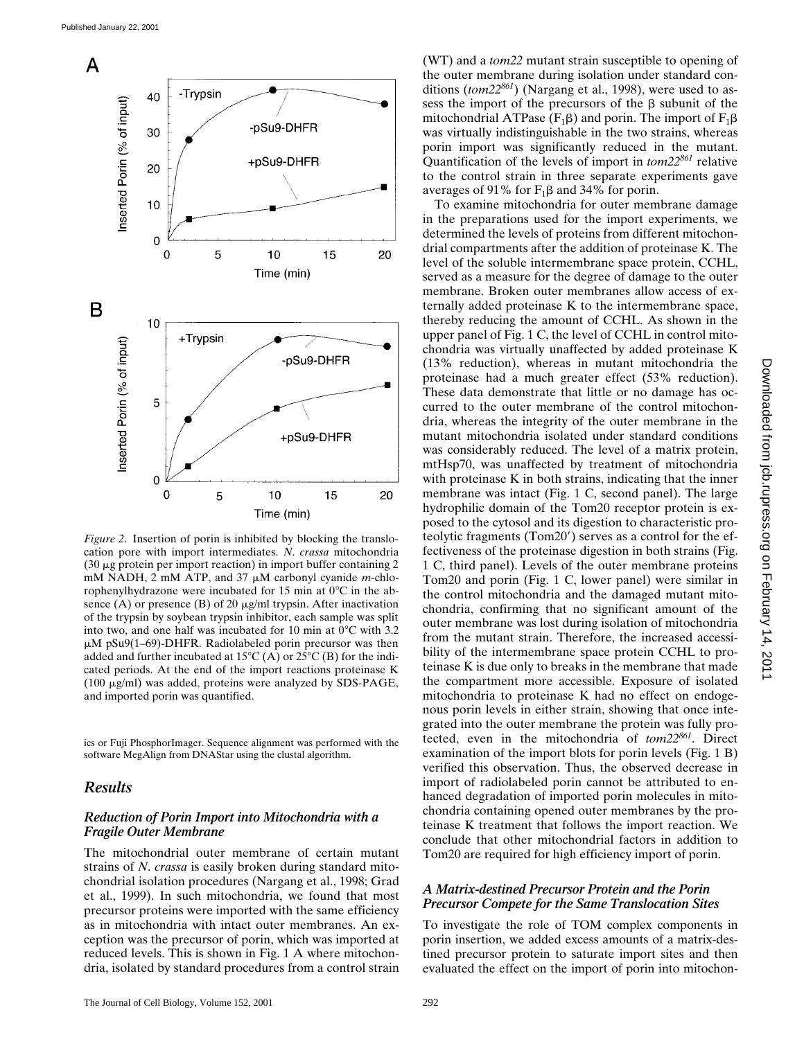

*Figure 2*. Insertion of porin is inhibited by blocking the translocation pore with import intermediates. *N*. *crassa* mitochondria  $(30 \mu g)$  protein per import reaction) in import buffer containing 2 mM NADH, 2 mM ATP, and 37  $\mu$ M carbonyl cyanide *m*-chlorophenylhydrazone were incubated for 15 min at  $0^{\circ}$ C in the absence (A) or presence (B) of 20  $\mu$ g/ml trypsin. After inactivation of the trypsin by soybean trypsin inhibitor, each sample was split into two, and one half was incubated for 10 min at  $0^{\circ}$ C with 3.2  $\mu$ M pSu9(1–69)-DHFR. Radiolabeled porin precursor was then added and further incubated at  $15^{\circ}C(A)$  or  $25^{\circ}C(B)$  for the indicated periods. At the end of the import reactions proteinase K (100 mg/ml) was added, proteins were analyzed by SDS-PAGE, and imported porin was quantified.

ics or Fuji PhosphorImager. Sequence alignment was performed with the software MegAlign from DNAStar using the clustal algorithm.

## *Results*

## *Reduction of Porin Import into Mitochondria with a Fragile Outer Membrane*

The mitochondrial outer membrane of certain mutant strains of *N*. *crassa* is easily broken during standard mitochondrial isolation procedures (Nargang et al., 1998; Grad et al., 1999). In such mitochondria, we found that most precursor proteins were imported with the same efficiency as in mitochondria with intact outer membranes. An exception was the precursor of porin, which was imported at reduced levels. This is shown in Fig. 1 A where mitochondria, isolated by standard procedures from a control strain

(WT) and a *tom22* mutant strain susceptible to opening of the outer membrane during isolation under standard conditions (*tom22861*) (Nargang et al., 1998), were used to assess the import of the precursors of the B subunit of the mitochondrial ATPase ( $F_1\beta$ ) and porin. The import of  $F_1\beta$ was virtually indistinguishable in the two strains, whereas porin import was significantly reduced in the mutant. Quantification of the levels of import in *tom22861* relative to the control strain in three separate experiments gave averages of 91% for  $F_1\beta$  and 34% for porin.

To examine mitochondria for outer membrane damage in the preparations used for the import experiments, we determined the levels of proteins from different mitochondrial compartments after the addition of proteinase K. The level of the soluble intermembrane space protein, CCHL, served as a measure for the degree of damage to the outer membrane. Broken outer membranes allow access of externally added proteinase K to the intermembrane space, thereby reducing the amount of CCHL. As shown in the upper panel of Fig. 1 C, the level of CCHL in control mitochondria was virtually unaffected by added proteinase K (13% reduction), whereas in mutant mitochondria the proteinase had a much greater effect (53% reduction). These data demonstrate that little or no damage has occurred to the outer membrane of the control mitochondria, whereas the integrity of the outer membrane in the mutant mitochondria isolated under standard conditions was considerably reduced. The level of a matrix protein, mtHsp70, was unaffected by treatment of mitochondria with proteinase K in both strains, indicating that the inner membrane was intact (Fig. 1 C, second panel). The large hydrophilic domain of the Tom20 receptor protein is exposed to the cytosol and its digestion to characteristic proteolytic fragments (Tom20') serves as a control for the effectiveness of the proteinase digestion in both strains (Fig. 1 C, third panel). Levels of the outer membrane proteins Tom20 and porin (Fig. 1 C, lower panel) were similar in the control mitochondria and the damaged mutant mitochondria, confirming that no significant amount of the outer membrane was lost during isolation of mitochondria from the mutant strain. Therefore, the increased accessibility of the intermembrane space protein CCHL to proteinase K is due only to breaks in the membrane that made the compartment more accessible. Exposure of isolated mitochondria to proteinase K had no effect on endogenous porin levels in either strain, showing that once integrated into the outer membrane the protein was fully protected, even in the mitochondria of *tom22861*. Direct examination of the import blots for porin levels (Fig. 1 B) verified this observation. Thus, the observed decrease in import of radiolabeled porin cannot be attributed to enhanced degradation of imported porin molecules in mitochondria containing opened outer membranes by the proteinase K treatment that follows the import reaction. We conclude that other mitochondrial factors in addition to Tom20 are required for high efficiency import of porin.

#### *A Matrix-destined Precursor Protein and the Porin Precursor Compete for the Same Translocation Sites*

To investigate the role of TOM complex components in porin insertion, we added excess amounts of a matrix-destined precursor protein to saturate import sites and then evaluated the effect on the import of porin into mitochon-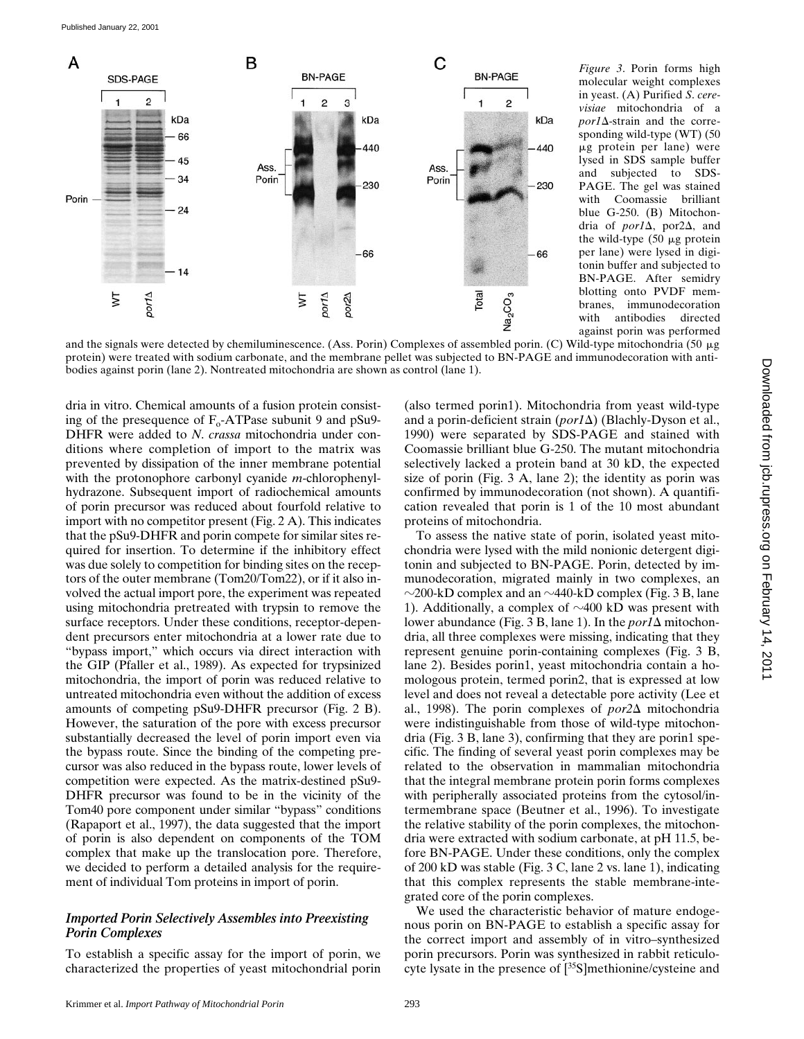

*Figure 3*. Porin forms high molecular weight complexes in yeast. (A) Purified *S*. *cerevisiae* mitochondria of a  $por1\Delta$ -strain and the corresponding wild-type (WT) (50  $\mu$ g protein per lane) were lysed in SDS sample buffer and subjected to SDS-PAGE. The gel was stained with Coomassie brilliant blue G-250. (B) Mitochondria of *por1* $\Delta$ , por2 $\Delta$ , and the wild-type  $(50 \mu g)$  protein per lane) were lysed in digitonin buffer and subjected to BN-PAGE. After semidry blotting onto PVDF membranes, immunodecoration with antibodies directed against porin was performed

and the signals were detected by chemiluminescence. (Ass. Porin) Complexes of assembled porin. (C) Wild-type mitochondria (50  $\mu$ g protein) were treated with sodium carbonate, and the membrane pellet was subjected to BN-PAGE and immunodecoration with antibodies against porin (lane 2). Nontreated mitochondria are shown as control (lane 1).

dria in vitro. Chemical amounts of a fusion protein consisting of the presequence of  $F_0$ -ATPase subunit 9 and pSu9-DHFR were added to *N*. *crassa* mitochondria under conditions where completion of import to the matrix was prevented by dissipation of the inner membrane potential with the protonophore carbonyl cyanide *m*-chlorophenylhydrazone. Subsequent import of radiochemical amounts of porin precursor was reduced about fourfold relative to import with no competitor present (Fig. 2 A). This indicates that the pSu9-DHFR and porin compete for similar sites required for insertion. To determine if the inhibitory effect was due solely to competition for binding sites on the receptors of the outer membrane (Tom20/Tom22), or if it also involved the actual import pore, the experiment was repeated using mitochondria pretreated with trypsin to remove the surface receptors. Under these conditions, receptor-dependent precursors enter mitochondria at a lower rate due to "bypass import," which occurs via direct interaction with the GIP (Pfaller et al., 1989). As expected for trypsinized mitochondria, the import of porin was reduced relative to untreated mitochondria even without the addition of excess amounts of competing pSu9-DHFR precursor (Fig. 2 B). However, the saturation of the pore with excess precursor substantially decreased the level of porin import even via the bypass route. Since the binding of the competing precursor was also reduced in the bypass route, lower levels of competition were expected. As the matrix-destined pSu9- DHFR precursor was found to be in the vicinity of the Tom40 pore component under similar "bypass" conditions (Rapaport et al., 1997), the data suggested that the import of porin is also dependent on components of the TOM complex that make up the translocation pore. Therefore, we decided to perform a detailed analysis for the requirement of individual Tom proteins in import of porin.

### *Imported Porin Selectively Assembles into Preexisting Porin Complexes*

To establish a specific assay for the import of porin, we characterized the properties of yeast mitochondrial porin (also termed porin1). Mitochondria from yeast wild-type and a porin-deficient strain (*por1* $\Delta$ ) (Blachly-Dyson et al., 1990) were separated by SDS-PAGE and stained with Coomassie brilliant blue G-250. The mutant mitochondria selectively lacked a protein band at 30 kD, the expected size of porin (Fig. 3 A, lane 2); the identity as porin was confirmed by immunodecoration (not shown). A quantification revealed that porin is 1 of the 10 most abundant proteins of mitochondria. To assess the native state of porin, isolated yeast mito-

chondria were lysed with the mild nonionic detergent digitonin and subjected to BN-PAGE. Porin, detected by immunodecoration, migrated mainly in two complexes, an  $\sim$ 200-kD complex and an  $\sim$ 440-kD complex (Fig. 3 B, lane 1). Additionally, a complex of  $\sim$ 400 kD was present with lower abundance (Fig. 3 B, lane 1). In the  $\text{por1}\Delta$  mitochondria, all three complexes were missing, indicating that they represent genuine porin-containing complexes (Fig. 3 B, lane 2). Besides porin1, yeast mitochondria contain a homologous protein, termed porin2, that is expressed at low level and does not reveal a detectable pore activity (Lee et al., 1998). The porin complexes of  $por2\Delta$  mitochondria were indistinguishable from those of wild-type mitochondria (Fig. 3 B, lane 3), confirming that they are porin1 specific. The finding of several yeast porin complexes may be related to the observation in mammalian mitochondria that the integral membrane protein porin forms complexes with peripherally associated proteins from the cytosol/intermembrane space (Beutner et al., 1996). To investigate the relative stability of the porin complexes, the mitochondria were extracted with sodium carbonate, at pH 11.5, before BN-PAGE. Under these conditions, only the complex of 200 kD was stable (Fig. 3 C, lane 2 vs. lane 1), indicating that this complex represents the stable membrane-integrated core of the porin complexes.

We used the characteristic behavior of mature endogenous porin on BN-PAGE to establish a specific assay for the correct import and assembly of in vitro–synthesized porin precursors. Porin was synthesized in rabbit reticulocyte lysate in the presence of [<sup>35</sup>S]methionine/cysteine and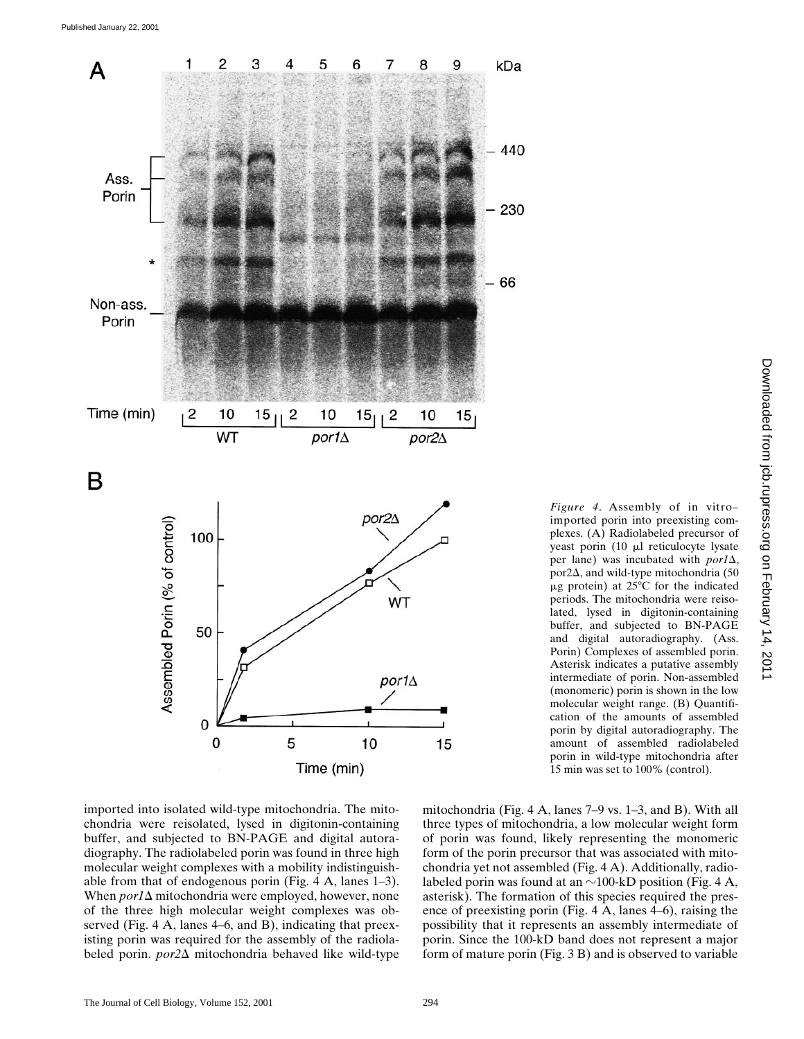

*Figure 4*. Assembly of in vitro– imported porin into preexisting complexes. (A) Radiolabeled precursor of yeast porin (10 µl reticulocyte lysate per lane) was incubated with  $por1\Delta$ , por2 $\Delta$ , and wild-type mitochondria (50  $\mu$ g protein) at 25 $\degree$ C for the indicated periods. The mitochondria were reisolated, lysed in digitonin-containing buffer, and subjected to BN-PAGE and digital autoradiography. (Ass. Porin) Complexes of assembled porin. Asterisk indicates a putative assembly intermediate of porin. Non-assembled (monomeric) porin is shown in the low molecular weight range. (B) Quantification of the amounts of assembled porin by digital autoradiography. The amount of assembled radiolabeled porin in wild-type mitochondria after 15 min was set to 100% (control).

imported into isolated wild-type mitochondria. The mitochondria were reisolated, lysed in digitonin-containing buffer, and subjected to BN-PAGE and digital autoradiography. The radiolabeled porin was found in three high molecular weight complexes with a mobility indistinguishable from that of endogenous porin (Fig. 4 A, lanes 1–3). When  $\text{por1}\Delta$  mitochondria were employed, however, none of the three high molecular weight complexes was observed (Fig. 4 A, lanes 4–6, and B), indicating that preexisting porin was required for the assembly of the radiolabeled porin. *por2*D mitochondria behaved like wild-type

mitochondria (Fig. 4 A, lanes 7–9 vs. 1–3, and B). With all three types of mitochondria, a low molecular weight form of porin was found, likely representing the monomeric form of the porin precursor that was associated with mitochondria yet not assembled (Fig. 4 A). Additionally, radiolabeled porin was found at an  $\sim$ 100-kD position (Fig. 4 A, asterisk). The formation of this species required the presence of preexisting porin (Fig. 4 A, lanes 4–6), raising the possibility that it represents an assembly intermediate of porin. Since the 100-kD band does not represent a major form of mature porin (Fig. 3 B) and is observed to variable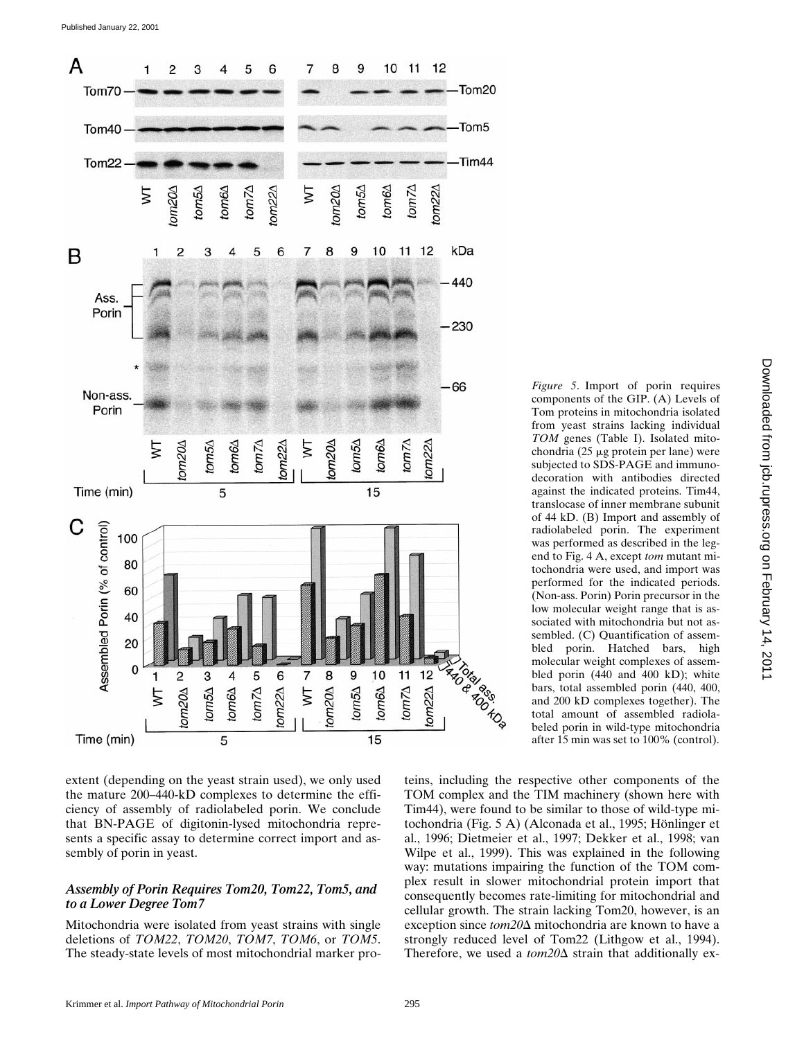

extent (depending on the yeast strain used), we only used the mature 200–440-kD complexes to determine the efficiency of assembly of radiolabeled porin. We conclude that BN-PAGE of digitonin-lysed mitochondria represents a specific assay to determine correct import and assembly of porin in yeast.

#### *Assembly of Porin Requires Tom20, Tom22, Tom5, and to a Lower Degree Tom7*

Mitochondria were isolated from yeast strains with single deletions of *TOM22*, *TOM20*, *TOM7*, *TOM6*, or *TOM5*. The steady-state levels of most mitochondrial marker pro-

*Figure 5*. Import of porin requires components of the GIP. (A) Levels of Tom proteins in mitochondria isolated from yeast strains lacking individual *TOM* genes (Table I). Isolated mitochondria (25  $\mu$ g protein per lane) were subjected to SDS-PAGE and immunodecoration with antibodies directed against the indicated proteins. Tim44, translocase of inner membrane subunit of 44 kD. (B) Import and assembly of radiolabeled porin. The experiment was performed as described in the legend to Fig. 4 A, except *tom* mutant mitochondria were used, and import was performed for the indicated periods. (Non-ass. Porin) Porin precursor in the low molecular weight range that is associated with mitochondria but not assembled. (C) Quantification of assembled porin. Hatched bars, high molecular weight complexes of assembled porin (440 and 400 kD); white bars, total assembled porin (440, 400, and 200 kD complexes together). The total amount of assembled radiolabeled porin in wild-type mitochondria after 15 min was set to 100% (control).

teins, including the respective other components of the TOM complex and the TIM machinery (shown here with Tim44), were found to be similar to those of wild-type mitochondria (Fig. 5 A) (Alconada et al., 1995; Hönlinger et al., 1996; Dietmeier et al., 1997; Dekker et al., 1998; van Wilpe et al., 1999). This was explained in the following way: mutations impairing the function of the TOM complex result in slower mitochondrial protein import that consequently becomes rate-limiting for mitochondrial and cellular growth. The strain lacking Tom20, however, is an exception since *tom20*D mitochondria are known to have a strongly reduced level of Tom22 (Lithgow et al., 1994). Therefore, we used a  $tom20\Delta$  strain that additionally ex-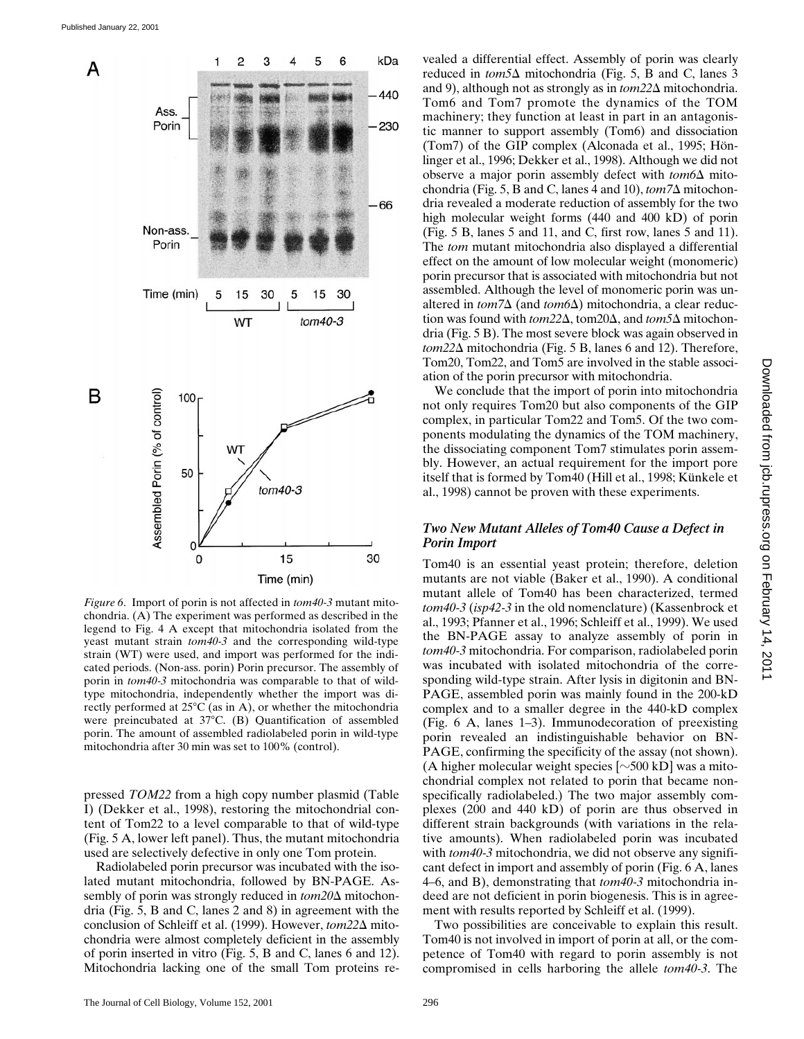

*Figure 6*. Import of porin is not affected in *tom40-3* mutant mitochondria. (A) The experiment was performed as described in the legend to Fig. 4 A except that mitochondria isolated from the yeast mutant strain *tom40-3* and the corresponding wild-type strain (WT) were used, and import was performed for the indicated periods. (Non-ass. porin) Porin precursor. The assembly of porin in *tom40-3* mitochondria was comparable to that of wildtype mitochondria, independently whether the import was directly performed at  $25^{\circ}$ C (as in A), or whether the mitochondria were preincubated at 37°C. (B) Quantification of assembled porin. The amount of assembled radiolabeled porin in wild-type mitochondria after 30 min was set to 100% (control).

pressed *TOM22* from a high copy number plasmid (Table I) (Dekker et al., 1998), restoring the mitochondrial content of Tom22 to a level comparable to that of wild-type (Fig. 5 A, lower left panel). Thus, the mutant mitochondria used are selectively defective in only one Tom protein.

Radiolabeled porin precursor was incubated with the isolated mutant mitochondria, followed by BN-PAGE. Assembly of porin was strongly reduced in  $tom20\Delta$  mitochondria (Fig. 5, B and C, lanes 2 and 8) in agreement with the conclusion of Schleiff et al. (1999). However, *tom22*∆ mitochondria were almost completely deficient in the assembly of porin inserted in vitro (Fig. 5, B and C, lanes 6 and 12). Mitochondria lacking one of the small Tom proteins revealed a differential effect. Assembly of porin was clearly reduced in *tom5*∆ mitochondria (Fig. 5, B and C, lanes 3 and 9), although not as strongly as in  $tom22\Delta$  mitochondria. Tom6 and Tom7 promote the dynamics of the TOM machinery; they function at least in part in an antagonistic manner to support assembly (Tom6) and dissociation (Tom7) of the GIP complex (Alconada et al., 1995; Hönlinger et al., 1996; Dekker et al., 1998). Although we did not observe a major porin assembly defect with  $tom6\Delta$  mitochondria (Fig. 5, B and C, lanes 4 and 10),  $\text{tom7}\Delta$  mitochondria revealed a moderate reduction of assembly for the two high molecular weight forms (440 and 400 kD) of porin (Fig. 5 B, lanes 5 and 11, and C, first row, lanes 5 and 11). The *tom* mutant mitochondria also displayed a differential effect on the amount of low molecular weight (monomeric) porin precursor that is associated with mitochondria but not assembled. Although the level of monomeric porin was unaltered in  $tom7\Delta$  (and  $tom6\Delta$ ) mitochondria, a clear reduction was found with  $tom22\Delta$ , tom20 $\Delta$ , and  $tom5\Delta$  mitochondria (Fig. 5 B). The most severe block was again observed in *tom22*D mitochondria (Fig. 5 B, lanes 6 and 12). Therefore, Tom20, Tom22, and Tom5 are involved in the stable association of the porin precursor with mitochondria.

We conclude that the import of porin into mitochondria not only requires Tom20 but also components of the GIP complex, in particular Tom22 and Tom5. Of the two components modulating the dynamics of the TOM machinery, the dissociating component Tom7 stimulates porin assembly. However, an actual requirement for the import pore itself that is formed by Tom40 (Hill et al., 1998; Künkele et al., 1998) cannot be proven with these experiments.

## *Two New Mutant Alleles of Tom40 Cause a Defect in Porin Import*

Tom40 is an essential yeast protein; therefore, deletion mutants are not viable (Baker et al., 1990). A conditional mutant allele of Tom40 has been characterized, termed *tom40-3* (*isp42-3* in the old nomenclature) (Kassenbrock et al., 1993; Pfanner et al., 1996; Schleiff et al., 1999). We used the BN-PAGE assay to analyze assembly of porin in *tom40-3* mitochondria. For comparison, radiolabeled porin was incubated with isolated mitochondria of the corresponding wild-type strain. After lysis in digitonin and BN-PAGE, assembled porin was mainly found in the 200-kD complex and to a smaller degree in the 440-kD complex (Fig. 6 A, lanes 1–3). Immunodecoration of preexisting porin revealed an indistinguishable behavior on BN-PAGE, confirming the specificity of the assay (not shown). (A higher molecular weight species  $[\sim 500 \text{ kD}]$  was a mitochondrial complex not related to porin that became nonspecifically radiolabeled.) The two major assembly complexes (200 and 440 kD) of porin are thus observed in different strain backgrounds (with variations in the relative amounts). When radiolabeled porin was incubated with *tom40-3* mitochondria, we did not observe any significant defect in import and assembly of porin (Fig. 6 A, lanes 4–6, and B), demonstrating that *tom40-3* mitochondria indeed are not deficient in porin biogenesis. This is in agreement with results reported by Schleiff et al. (1999).

Two possibilities are conceivable to explain this result. Tom40 is not involved in import of porin at all, or the competence of Tom40 with regard to porin assembly is not compromised in cells harboring the allele *tom40-3*. The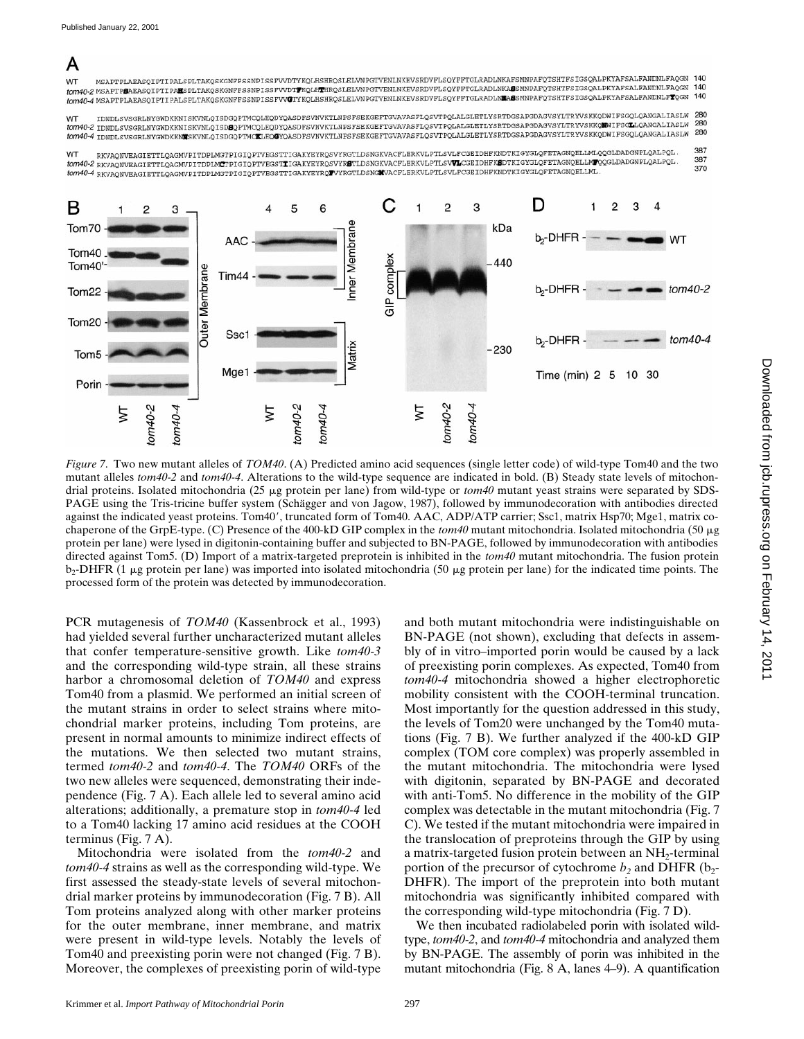## A

MSAPTPLAEASQIPTIPALSPLTAKQSKGNFFSSNPISSFVVDTYKQLHSHRQSLELVNPGTVENLNKEVSRDVFLSQYFFTGLRADLNKAFSMNPAFQTSHTFSIGSQALPKYAFSALFANDNLFAQGN 140 **WT** WI MSAFTPLAEASQIFTIPALSPLITAKQSKGNFFSSNFISSFVVDITKQLHSHKQSLELVNFGIVENLNKEVSKDVFLSQIFFIGLKADLNKAKSMNPAFQTSHTFSIGSQALPKYAFSALPANDNLFAQGN<br>tom40-2 MSAPTPMAEASQIPTIPAESPLTAKQSKGNFFSSNPISSFVVDTTKQLHTHRQSLELVNPGTVENLNKEVSRDVFLSQY 140 tom40-2 MSAPTPLAEASQIPTIPALSPLTAKQSKGNFFSSNFISSFVVDIFKQLHIHKQSLELVNPGTVENLMKEVSKDVFLSQYFFTGLRADLMLAESMNPAFQTSHTFSIGSQALPKYAFSALFANDNLFTQGN<br>tom40-4 MSAPTPLAEASQIPTIPALSPLTAKQSKGNFFSSNPISSFVVCTYKQLHSHRQSLELVNPGTVENLNKEVSRDVF  $140$ 

IDNDLSVSGRLNYGWDKKNISKVNLQISDGQPTMCQLEQDYQASDFSVNVKTLNPSFSEKGEFTGVAVASFLQSVTPQLALGLETLYSRTDGSAPGDAGVSYLTRYVSKKQDWIFSGQLQANGALIASLW WT 280 WI<br>KOMAO-Z IDNDLSVSGRLNYGWDKKNISKVNLQISDOQYDNCQLEQDYQASDFSVNVKTLNPSFSEKGEFTGVAVASFLQSVTPQLALGLETLYSRTDGSAPGDAGVSYLTRYVSKKQMWIFSGLLQANGALIASLW 280 tom O I LENDLSVSGRLMYGWDKKNUSKVNLQISDGQPTMCKLEQQYQASDFSVNVKTLMPSFSEKGEFTGVAVASFLQSVTPQLALGLETLYSRTDGSAPGDAGVSYLTRYVSKKQDWIFSGQLQANGALIASLW

387 RKVAQNVEAGIETTLQAGMVPITDPLMGTPIGIQPTVEGSTTIGAKYEYRQSVYRGTLDSNGKVACFLERKVLPTLSVLFCGEIDHFKNDTKIGYGLQFETAGNQELLMLQQGLDADGNPLQALPQL **WT** 387 ...<br>1999 - EXAN MERGIETTLONGWYPITDPLMCTPIGIQPTVEGSTIIGAKYEYRQSVYRSTLDSNGKVACFLERKVLPTLSVVLGGEIDHFKSDTKIGYGLQFETAGNQELLMTQQGLDADGNPLQALPQL 370 tom40-4 RKVAQNVEAGIETTLQAGNVPITDPLMGTPIGIQPTVEGSTTIGAKYEYRQTVYRGTLDSNGKVACFLERKVLPTLSVLFCGEIDHFKNDTKIGYGLQFETAGNQELLML



*Figure 7.* Two new mutant alleles of *TOM40*. (A) Predicted amino acid sequences (single letter code) of wild-type Tom40 and the two mutant alleles *tom40-2* and *tom40-4*. Alterations to the wild-type sequence are indicated in bold. (B) Steady state levels of mitochondrial proteins. Isolated mitochondria (25 mg protein per lane) from wild-type or *tom40* mutant yeast strains were separated by SDS-PAGE using the Tris-tricine buffer system (Schägger and von Jagow, 1987), followed by immunodecoration with antibodies directed against the indicated yeast proteins. Tom40', truncated form of Tom40. AAC, ADP/ATP carrier; Ssc1, matrix Hsp70; Mge1, matrix cochaperone of the GrpE-type. (C) Presence of the 400-kD GIP complex in the *tom40* mutant mitochondria. Isolated mitochondria (50 mg protein per lane) were lysed in digitonin-containing buffer and subjected to BN-PAGE, followed by immunodecoration with antibodies directed against Tom5. (D) Import of a matrix-targeted preprotein is inhibited in the *tom40* mutant mitochondria. The fusion protein  $b_2$ -DHFR (1 µg protein per lane) was imported into isolated mitochondria (50 µg protein per lane) for the indicated time points. The processed form of the protein was detected by immunodecoration.

PCR mutagenesis of *TOM40* (Kassenbrock et al., 1993) had yielded several further uncharacterized mutant alleles that confer temperature-sensitive growth. Like *tom40-3* and the corresponding wild-type strain, all these strains harbor a chromosomal deletion of *TOM40* and express Tom40 from a plasmid. We performed an initial screen of the mutant strains in order to select strains where mitochondrial marker proteins, including Tom proteins, are present in normal amounts to minimize indirect effects of the mutations. We then selected two mutant strains, termed *tom40-2* and *tom40-4*. The *TOM40* ORFs of the two new alleles were sequenced, demonstrating their independence (Fig. 7 A). Each allele led to several amino acid alterations; additionally, a premature stop in *tom40-4* led to a Tom40 lacking 17 amino acid residues at the COOH terminus (Fig. 7 A).

Mitochondria were isolated from the *tom40-2* and *tom40-4* strains as well as the corresponding wild-type. We first assessed the steady-state levels of several mitochondrial marker proteins by immunodecoration (Fig. 7 B). All Tom proteins analyzed along with other marker proteins for the outer membrane, inner membrane, and matrix were present in wild-type levels. Notably the levels of Tom40 and preexisting porin were not changed (Fig. 7 B). Moreover, the complexes of preexisting porin of wild-type and both mutant mitochondria were indistinguishable on BN-PAGE (not shown), excluding that defects in assembly of in vitro–imported porin would be caused by a lack of preexisting porin complexes. As expected, Tom40 from *tom40-4* mitochondria showed a higher electrophoretic mobility consistent with the COOH-terminal truncation. Most importantly for the question addressed in this study, the levels of Tom20 were unchanged by the Tom40 mutations (Fig. 7 B). We further analyzed if the 400-kD GIP complex (TOM core complex) was properly assembled in the mutant mitochondria. The mitochondria were lysed with digitonin, separated by BN-PAGE and decorated with anti-Tom5. No difference in the mobility of the GIP complex was detectable in the mutant mitochondria (Fig. 7 C). We tested if the mutant mitochondria were impaired in the translocation of preproteins through the GIP by using a matrix-targeted fusion protein between an NH<sub>2</sub>-terminal portion of the precursor of cytochrome  $b_2$  and DHFR ( $b_2$ -DHFR). The import of the preprotein into both mutant mitochondria was significantly inhibited compared with the corresponding wild-type mitochondria (Fig. 7 D).

We then incubated radiolabeled porin with isolated wildtype, *tom40-2*, and *tom40-4* mitochondria and analyzed them by BN-PAGE. The assembly of porin was inhibited in the mutant mitochondria (Fig. 8 A, lanes 4–9). A quantification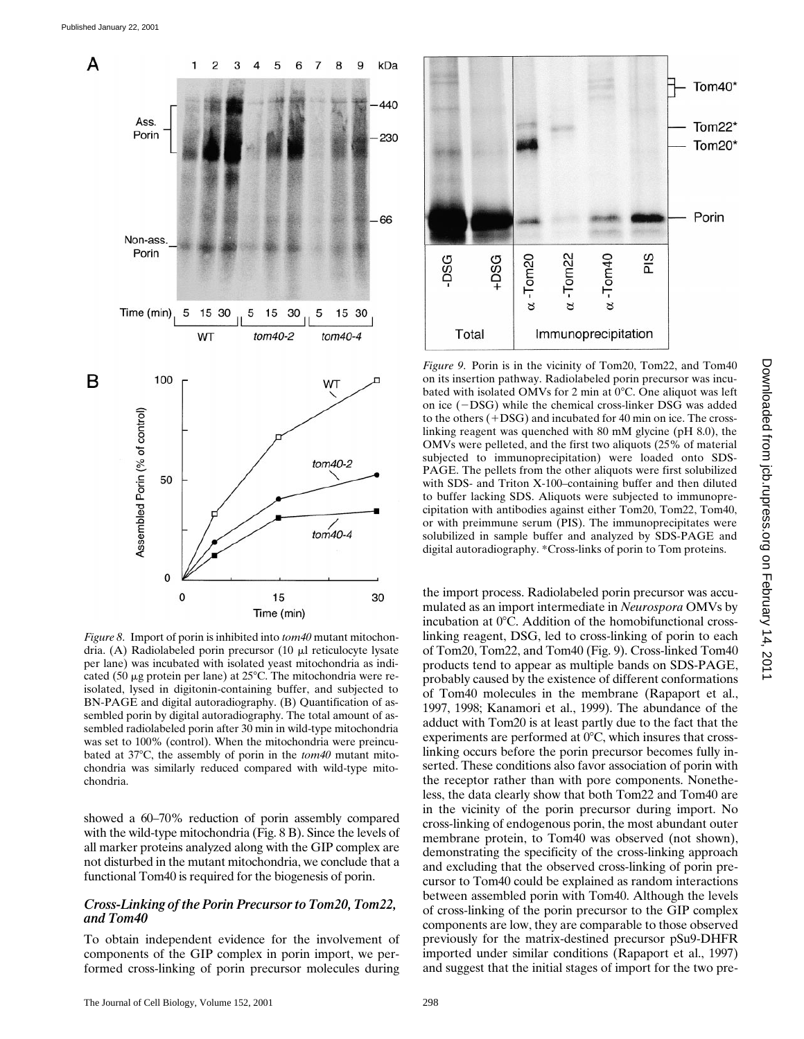

*Figure 8*. Import of porin is inhibited into *tom40* mutant mitochondria. (A) Radiolabeled porin precursor (10 µl reticulocyte lysate per lane) was incubated with isolated yeast mitochondria as indicated (50  $\mu$ g protein per lane) at 25°C. The mitochondria were reisolated, lysed in digitonin-containing buffer, and subjected to BN-PAGE and digital autoradiography. (B) Quantification of assembled porin by digital autoradiography. The total amount of assembled radiolabeled porin after 30 min in wild-type mitochondria was set to 100% (control). When the mitochondria were preincubated at 37°C, the assembly of porin in the *tom40* mutant mitochondria was similarly reduced compared with wild-type mitochondria.

showed a 60–70% reduction of porin assembly compared with the wild-type mitochondria (Fig. 8 B). Since the levels of all marker proteins analyzed along with the GIP complex are not disturbed in the mutant mitochondria, we conclude that a functional Tom40 is required for the biogenesis of porin.

#### *Cross-Linking of the Porin Precursor to Tom20, Tom22, and Tom40*

To obtain independent evidence for the involvement of components of the GIP complex in porin import, we performed cross-linking of porin precursor molecules during



*Figure 9*. Porin is in the vicinity of Tom20, Tom22, and Tom40 on its insertion pathway. Radiolabeled porin precursor was incubated with isolated OMVs for 2 min at  $0^{\circ}$ C. One aliquot was left on ice  $(-DSG)$  while the chemical cross-linker DSG was added to the others  $(+DSG)$  and incubated for 40 min on ice. The crosslinking reagent was quenched with 80 mM glycine (pH 8.0), the OMVs were pelleted, and the first two aliquots (25% of material subjected to immunoprecipitation) were loaded onto SDS-PAGE. The pellets from the other aliquots were first solubilized with SDS- and Triton X-100–containing buffer and then diluted to buffer lacking SDS. Aliquots were subjected to immunoprecipitation with antibodies against either Tom20, Tom22, Tom40, or with preimmune serum (PIS). The immunoprecipitates were solubilized in sample buffer and analyzed by SDS-PAGE and digital autoradiography. \*Cross-links of porin to Tom proteins.

the import process. Radiolabeled porin precursor was accumulated as an import intermediate in *Neurospora* OMVs by incubation at  $0^{\circ}$ C. Addition of the homobifunctional crosslinking reagent, DSG, led to cross-linking of porin to each of Tom20, Tom22, and Tom40 (Fig. 9). Cross-linked Tom40 products tend to appear as multiple bands on SDS-PAGE, probably caused by the existence of different conformations of Tom40 molecules in the membrane (Rapaport et al., 1997, 1998; Kanamori et al., 1999). The abundance of the adduct with Tom20 is at least partly due to the fact that the experiments are performed at  $0^{\circ}$ C, which insures that crosslinking occurs before the porin precursor becomes fully inserted. These conditions also favor association of porin with the receptor rather than with pore components. Nonetheless, the data clearly show that both Tom22 and Tom40 are in the vicinity of the porin precursor during import. No cross-linking of endogenous porin, the most abundant outer membrane protein, to Tom40 was observed (not shown), demonstrating the specificity of the cross-linking approach and excluding that the observed cross-linking of porin precursor to Tom40 could be explained as random interactions between assembled porin with Tom40. Although the levels of cross-linking of the porin precursor to the GIP complex components are low, they are comparable to those observed previously for the matrix-destined precursor pSu9-DHFR imported under similar conditions (Rapaport et al., 1997) and suggest that the initial stages of import for the two pre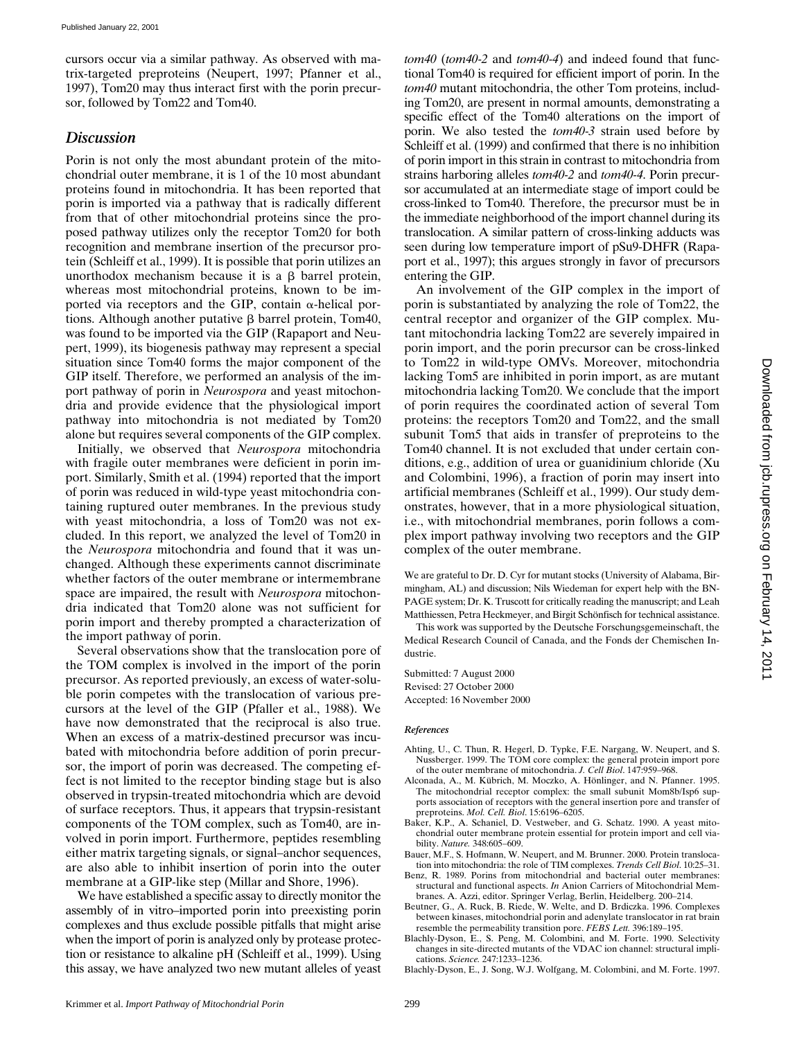cursors occur via a similar pathway. As observed with matrix-targeted preproteins (Neupert, 1997; Pfanner et al., 1997), Tom20 may thus interact first with the porin precursor, followed by Tom22 and Tom40.

## *Discussion*

Porin is not only the most abundant protein of the mitochondrial outer membrane, it is 1 of the 10 most abundant proteins found in mitochondria. It has been reported that porin is imported via a pathway that is radically different from that of other mitochondrial proteins since the proposed pathway utilizes only the receptor Tom20 for both recognition and membrane insertion of the precursor protein (Schleiff et al., 1999). It is possible that porin utilizes an unorthodox mechanism because it is a  $\beta$  barrel protein, whereas most mitochondrial proteins, known to be imported via receptors and the GIP, contain  $\alpha$ -helical portions. Although another putative  $\beta$  barrel protein, Tom40, was found to be imported via the GIP (Rapaport and Neupert, 1999), its biogenesis pathway may represent a special situation since Tom40 forms the major component of the GIP itself. Therefore, we performed an analysis of the import pathway of porin in *Neurospora* and yeast mitochondria and provide evidence that the physiological import pathway into mitochondria is not mediated by Tom20 alone but requires several components of the GIP complex.

Initially, we observed that *Neurospora* mitochondria with fragile outer membranes were deficient in porin import. Similarly, Smith et al. (1994) reported that the import of porin was reduced in wild-type yeast mitochondria containing ruptured outer membranes. In the previous study with yeast mitochondria, a loss of Tom20 was not excluded. In this report, we analyzed the level of Tom20 in the *Neurospora* mitochondria and found that it was unchanged. Although these experiments cannot discriminate whether factors of the outer membrane or intermembrane space are impaired, the result with *Neurospora* mitochondria indicated that Tom20 alone was not sufficient for porin import and thereby prompted a characterization of the import pathway of porin.

Several observations show that the translocation pore of the TOM complex is involved in the import of the porin precursor. As reported previously, an excess of water-soluble porin competes with the translocation of various precursors at the level of the GIP (Pfaller et al., 1988). We have now demonstrated that the reciprocal is also true. When an excess of a matrix-destined precursor was incubated with mitochondria before addition of porin precursor, the import of porin was decreased. The competing effect is not limited to the receptor binding stage but is also observed in trypsin-treated mitochondria which are devoid of surface receptors. Thus, it appears that trypsin-resistant components of the TOM complex, such as Tom40, are involved in porin import. Furthermore, peptides resembling either matrix targeting signals, or signal–anchor sequences, are also able to inhibit insertion of porin into the outer membrane at a GIP-like step (Millar and Shore, 1996).

We have established a specific assay to directly monitor the assembly of in vitro–imported porin into preexisting porin complexes and thus exclude possible pitfalls that might arise when the import of porin is analyzed only by protease protection or resistance to alkaline pH (Schleiff et al., 1999). Using this assay, we have analyzed two new mutant alleles of yeast *tom40* (*tom40-2* and *tom40-4*) and indeed found that functional Tom40 is required for efficient import of porin. In the *tom40* mutant mitochondria, the other Tom proteins, including Tom20, are present in normal amounts, demonstrating a specific effect of the Tom40 alterations on the import of porin. We also tested the *tom40-3* strain used before by Schleiff et al. (1999) and confirmed that there is no inhibition of porin import in this strain in contrast to mitochondria from strains harboring alleles *tom40-2* and *tom40-4*. Porin precursor accumulated at an intermediate stage of import could be cross-linked to Tom40. Therefore, the precursor must be in the immediate neighborhood of the import channel during its translocation. A similar pattern of cross-linking adducts was seen during low temperature import of pSu9-DHFR (Rapaport et al., 1997); this argues strongly in favor of precursors entering the GIP.

An involvement of the GIP complex in the import of porin is substantiated by analyzing the role of Tom22, the central receptor and organizer of the GIP complex. Mutant mitochondria lacking Tom22 are severely impaired in porin import, and the porin precursor can be cross-linked to Tom22 in wild-type OMVs. Moreover, mitochondria lacking Tom5 are inhibited in porin import, as are mutant mitochondria lacking Tom20. We conclude that the import of porin requires the coordinated action of several Tom proteins: the receptors Tom20 and Tom22, and the small subunit Tom5 that aids in transfer of preproteins to the Tom40 channel. It is not excluded that under certain conditions, e.g., addition of urea or guanidinium chloride (Xu and Colombini, 1996), a fraction of porin may insert into artificial membranes (Schleiff et al., 1999). Our study demonstrates, however, that in a more physiological situation, i.e., with mitochondrial membranes, porin follows a complex import pathway involving two receptors and the GIP complex of the outer membrane.

We are grateful to Dr. D. Cyr for mutant stocks (University of Alabama, Birmingham, AL) and discussion; Nils Wiedeman for expert help with the BN-PAGE system; Dr. K. Truscott for critically reading the manuscript; and Leah Matthiessen, Petra Heckmeyer, and Birgit Schönfisch for technical assistance.

This work was supported by the Deutsche Forschungsgemeinschaft, the Medical Research Council of Canada, and the Fonds der Chemischen Industrie.

Submitted: 7 August 2000 Revised: 27 October 2000 Accepted: 16 November 2000

#### *References*

- Ahting, U., C. Thun, R. Hegerl, D. Typke, F.E. Nargang, W. Neupert, and S. Nussberger. 1999. The TOM core complex: the general protein import pore of the outer membrane of mitochondria. *J. Cell Biol*. 147:959–968.
- Alconada, A., M. Kübrich, M. Moczko, A. Hönlinger, and N. Pfanner. 1995. The mitochondrial receptor complex: the small subunit Mom8b/Isp6 supports association of receptors with the general insertion pore and transfer of preproteins. *Mol. Cell. Biol*. 15:6196–6205.
- Baker, K.P., A. Schaniel, D. Vestweber, and G. Schatz. 1990. A yeast mitochondrial outer membrane protein essential for protein import and cell viability. *Nature.* 348:605–609.
- Bauer, M.F., S. Hofmann, W. Neupert, and M. Brunner. 2000. Protein translocation into mitochondria: the role of TIM complexes. *Trends Cell Biol*. 10:25–31.
- Benz, R. 1989. Porins from mitochondrial and bacterial outer membranes: structural and functional aspects. *In* Anion Carriers of Mitochondrial Membranes. A. Azzi, editor. Springer Verlag, Berlin, Heidelberg. 200–214.
- Beutner, G., A. Ruck, B. Riede, W. Welte, and D. Brdiczka. 1996. Complexes between kinases, mitochondrial porin and adenylate translocator in rat brain resemble the permeability transition pore. *FEBS Lett.* 396:189–195.
- Blachly-Dyson, E., S. Peng, M. Colombini, and M. Forte. 1990. Selectivity changes in site-directed mutants of the VDAC ion channel: structural implications. *Science.* 247:1233–1236.
- Blachly-Dyson, E., J. Song, W.J. Wolfgang, M. Colombini, and M. Forte. 1997.